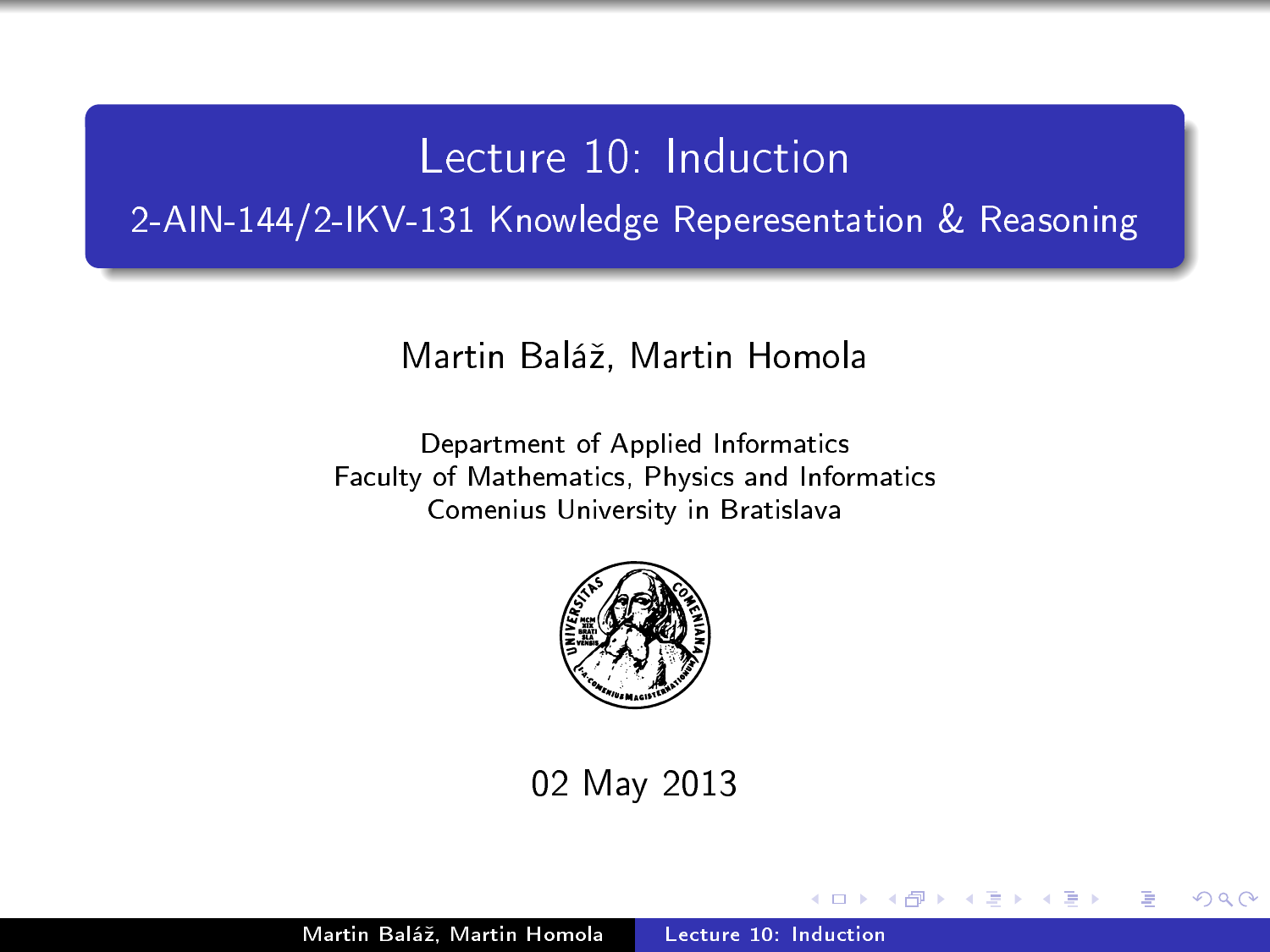# Lecture 10: Induction 2-AIN-144/2-IKV-131 Knowledge Reperesentation & Reasoning

#### Martin Baláº, Martin Homola

Department of Applied Informatics Faculty of Mathematics, Physics and Informatics Comenius University in Bratislava



02 May 2013

<span id="page-0-0"></span>つくい

Martin Baláž, Martin Homola | [Lecture 10: Induction](#page-18-0)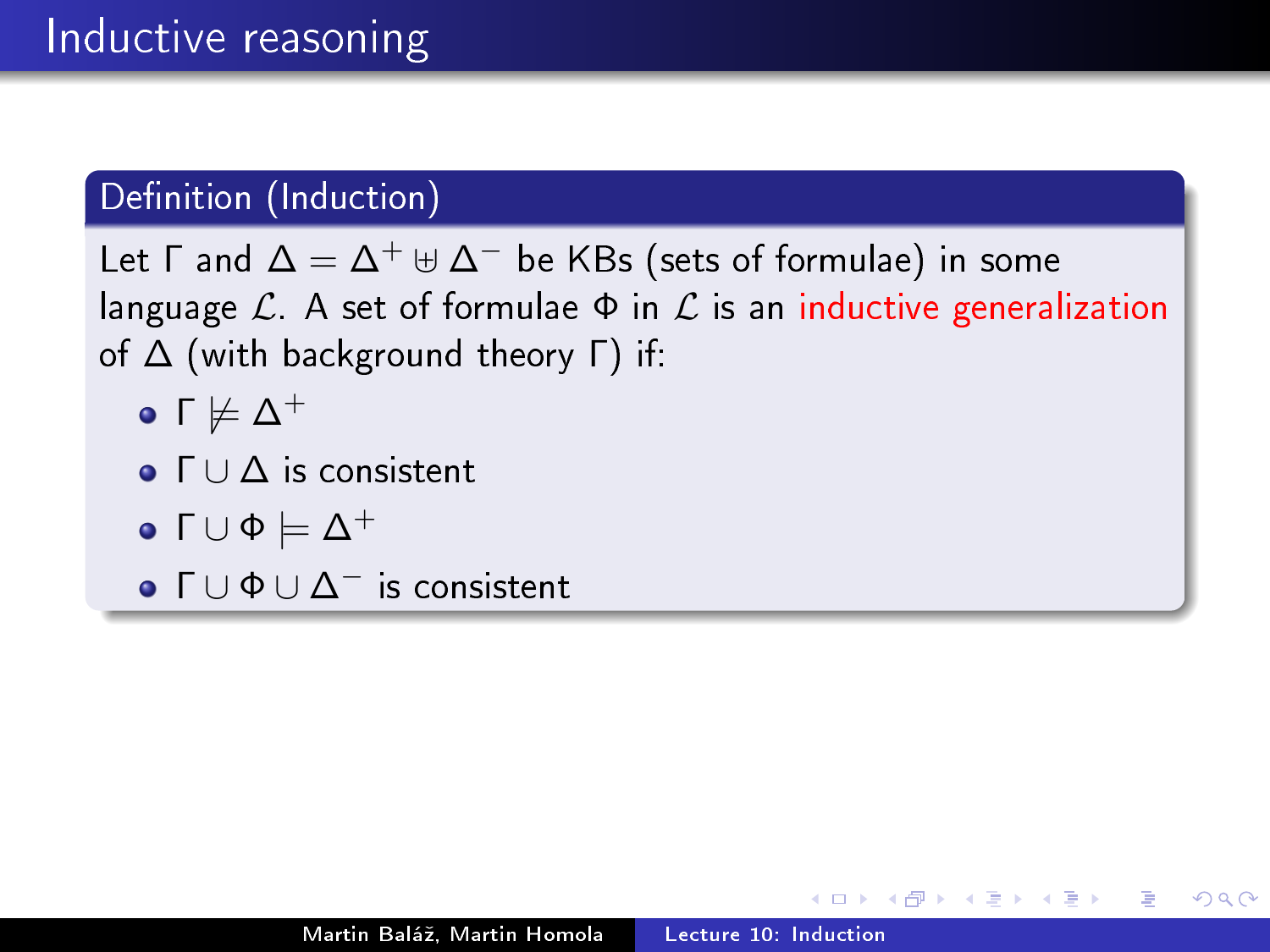#### Definition (Induction)

Let  $\Gamma$  and  $\Delta = \Delta^+ \uplus \Delta^-$  be KBs (sets of formulae) in some language  $\mathcal{L}$ . A set of formulae  $\Phi$  in  $\mathcal{L}$  is an inductive generalization of ∆ (with background theory Γ) if:

- $\bullet$  Γ $\not\models$  Δ<sup>+</sup>
- $\bullet$   $\Gamma \cup \Delta$  is consistent
- $\bullet$   $\Gamma \cup \Phi \models \Delta^+$
- Γ ∪ Φ ∪ ∆<sup>−</sup> is consistent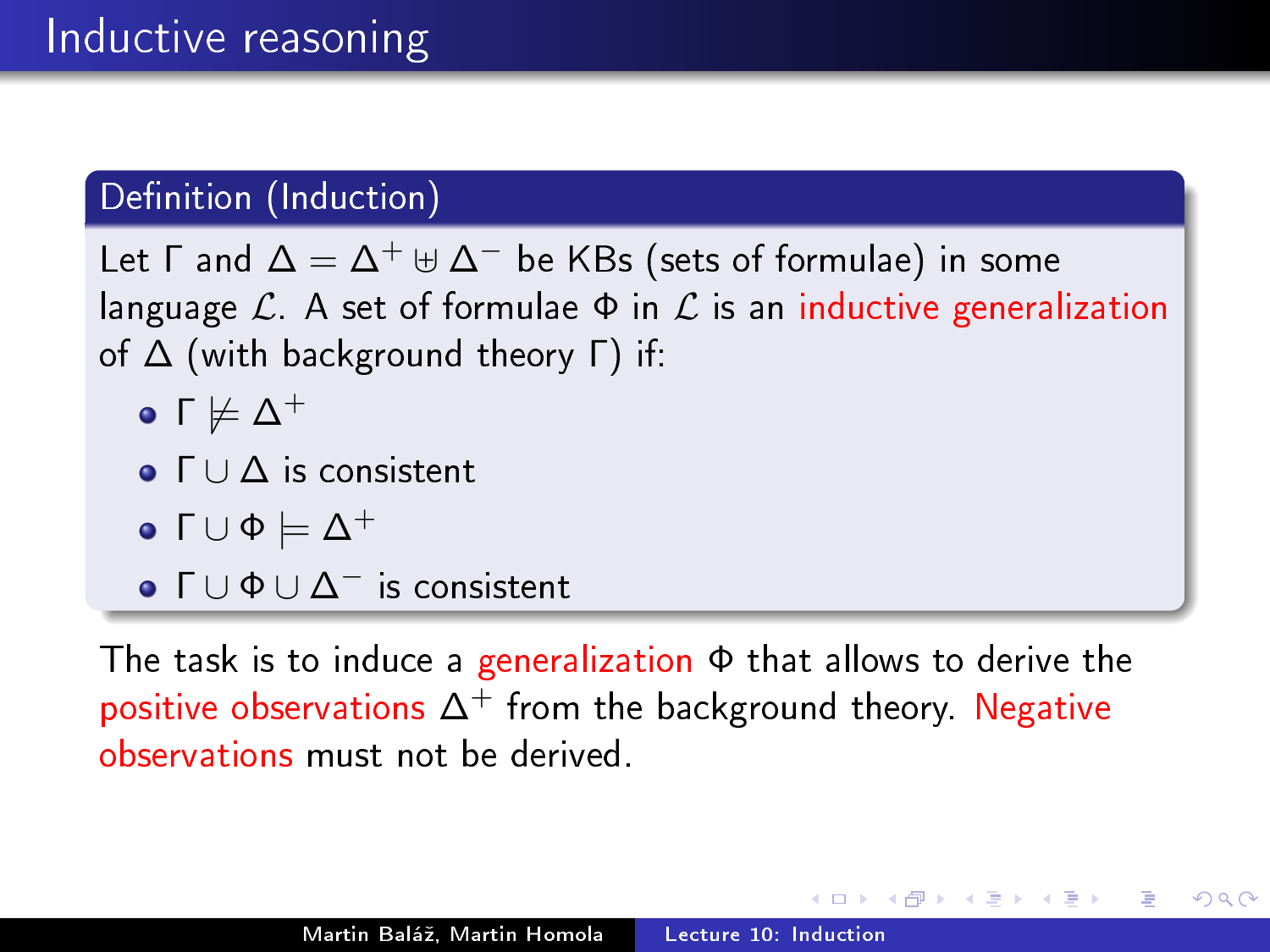# Definition (Induction)

Let  $\Gamma$  and  $\Delta = \Delta^+ \uplus \Delta^-$  be KBs (sets of formulae) in some language  $\mathcal{L}$ . A set of formulae  $\Phi$  in  $\mathcal{L}$  is an inductive generalization of ∆ (with background theory Γ) if:

- $\bullet$  Γ $\not\models$  Δ<sup>+</sup>
- $\bullet$   $\Gamma \cup \Delta$  is consistent
- $\bullet$   $\Gamma \cup \Phi \models \Delta^+$
- $\bullet$   $\Gamma \cup \Phi \cup \Delta^-$  is consistent

The task is to induce a generalization Φ that allows to derive the positive observations  $\Delta^+$  from the background theory. Negative observations must not be derived.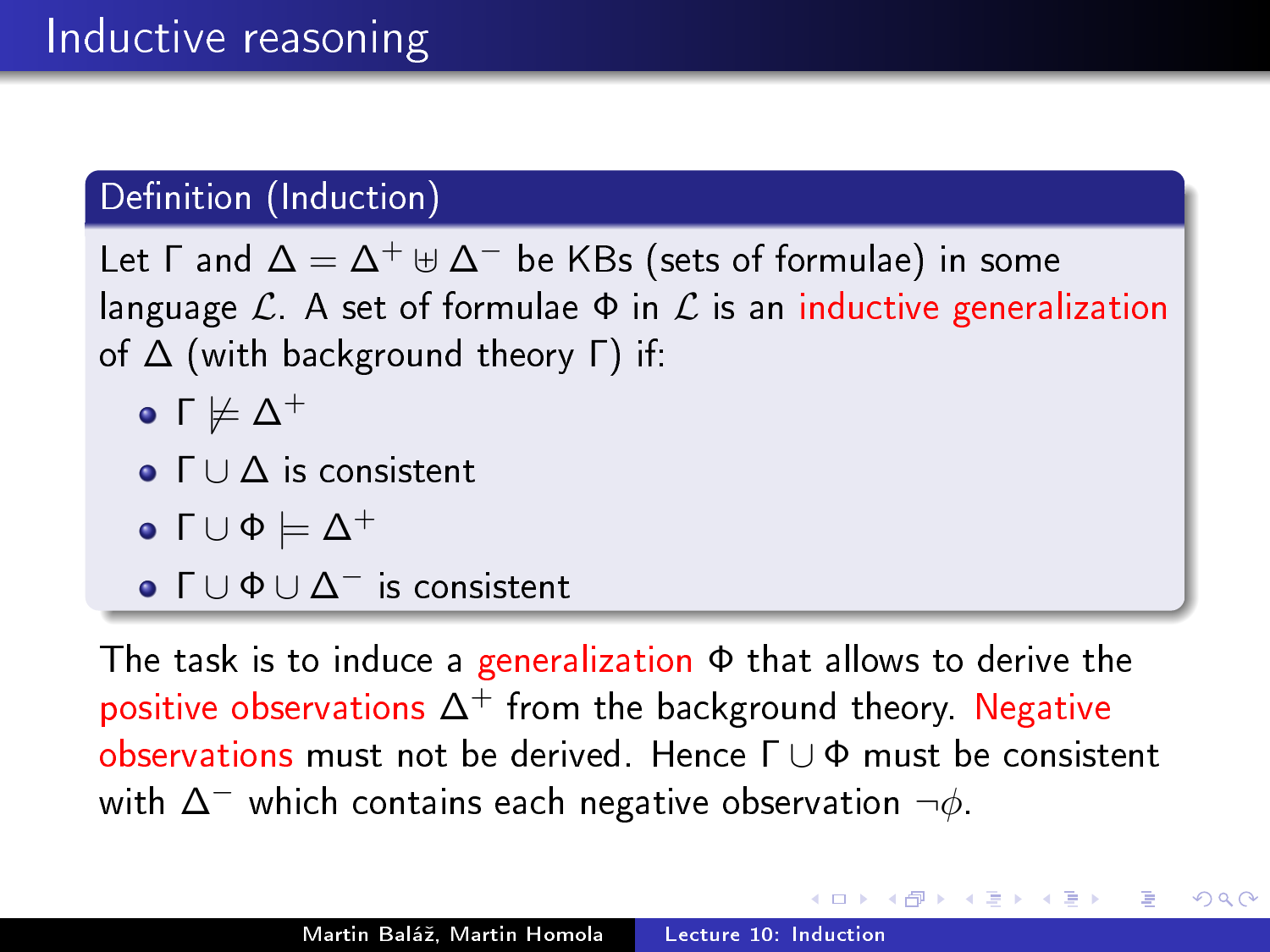### Definition (Induction)

Let  $\Gamma$  and  $\Delta = \Delta^+ \uplus \Delta^-$  be KBs (sets of formulae) in some language  $\mathcal{L}$ . A set of formulae  $\Phi$  in  $\mathcal{L}$  is an inductive generalization of ∆ (with background theory Γ) if:

- $\bullet$  Γ $\not\models$  Δ<sup>+</sup>
- $\bullet$   $\Gamma \cup \Delta$  is consistent
- $\bullet$   $\Gamma \cup \Phi \models \Delta^+$
- $\bullet$   $\Gamma \cup \Phi \cup \Delta^-$  is consistent

The task is to induce a generalization Φ that allows to derive the positive observations  $\Delta^+$  from the background theory. Negative observations must not be derived. Hence Γ ∪ Φ must be consistent with  $\Delta^-$  which contains each negative observation  $\neg \phi$ .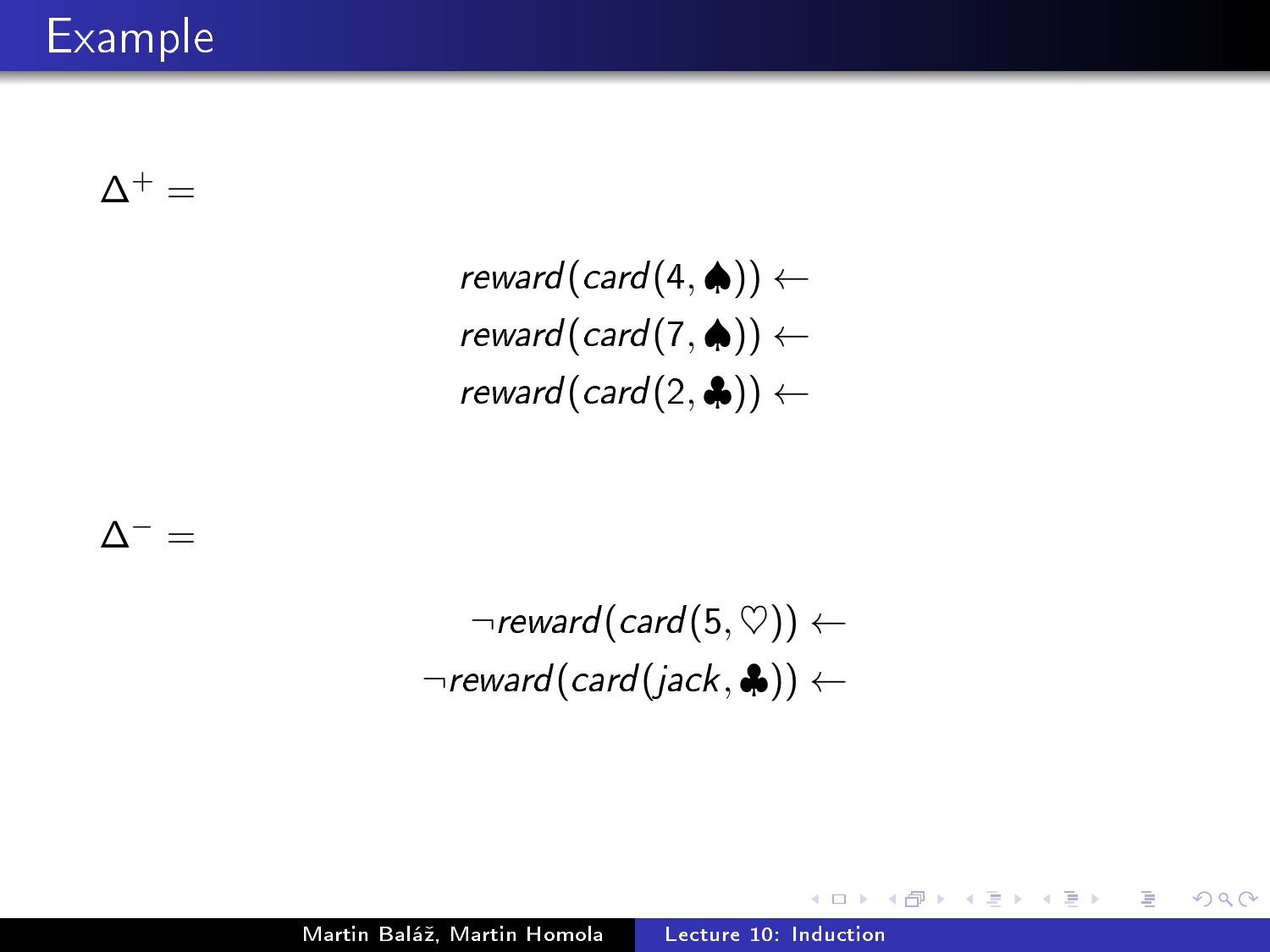Example

 $\Lambda^+ =$ 

reward(card(4,  $\spadesuit$ )) ← reward(card(7, $\spadesuit$ )) ← reward(card(2,  $\clubsuit$ ))  $\leftarrow$ 

 $\Delta^-$  =

 $\neg$ reward(card(5,  $\heartsuit)$ )  $\leftarrow$  $\neg$ reward(card(jack,  $\clubsuit$ ))  $\leftarrow$ 

 $\overline{a}$ 

Þ

∢ 何 ▶ → ヨ ▶ → ヨ ▶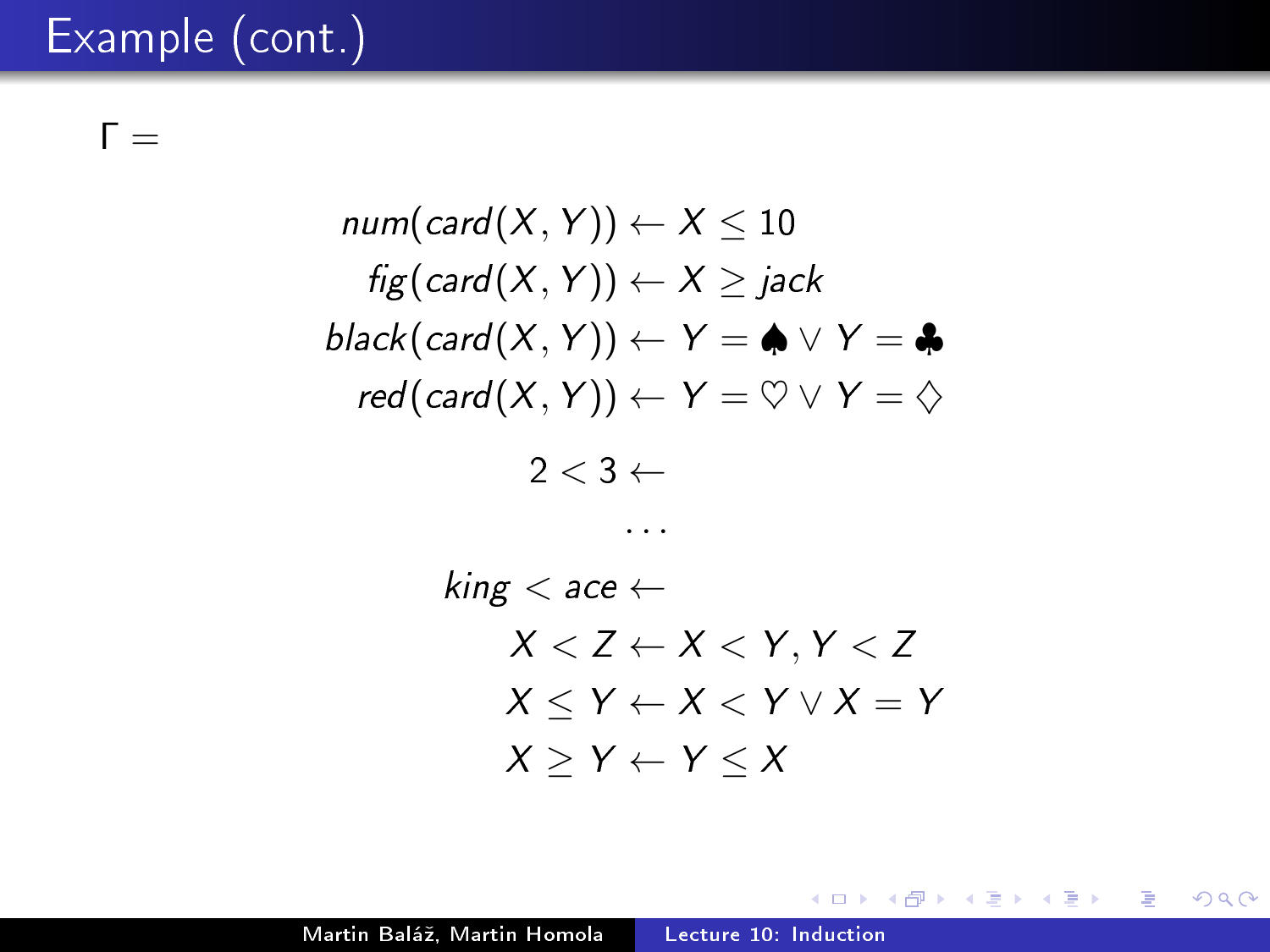# Example (cont.)

 $\Gamma =$ 

$$
num(card(X, Y)) \leftarrow X \le 10
$$
\n
$$
fig(card(X, Y)) \leftarrow X \ge jack
$$
\n
$$
black(card(X, Y)) \leftarrow Y = \text{A} \lor Y = \text{A}
$$
\n
$$
red(card(X, Y)) \leftarrow Y = \text{O} \lor Y = \text{O}
$$
\n
$$
2 < 3 \leftarrow \cdots
$$
\n
$$
king < ace \leftarrow \qquad X < Y, Y < Z
$$
\n
$$
X < Y \leftarrow X < Y \lor X = Y
$$

$$
X \geq Y \leftarrow Y \leq X
$$

メロメ メ部メ メきメ メきメー

目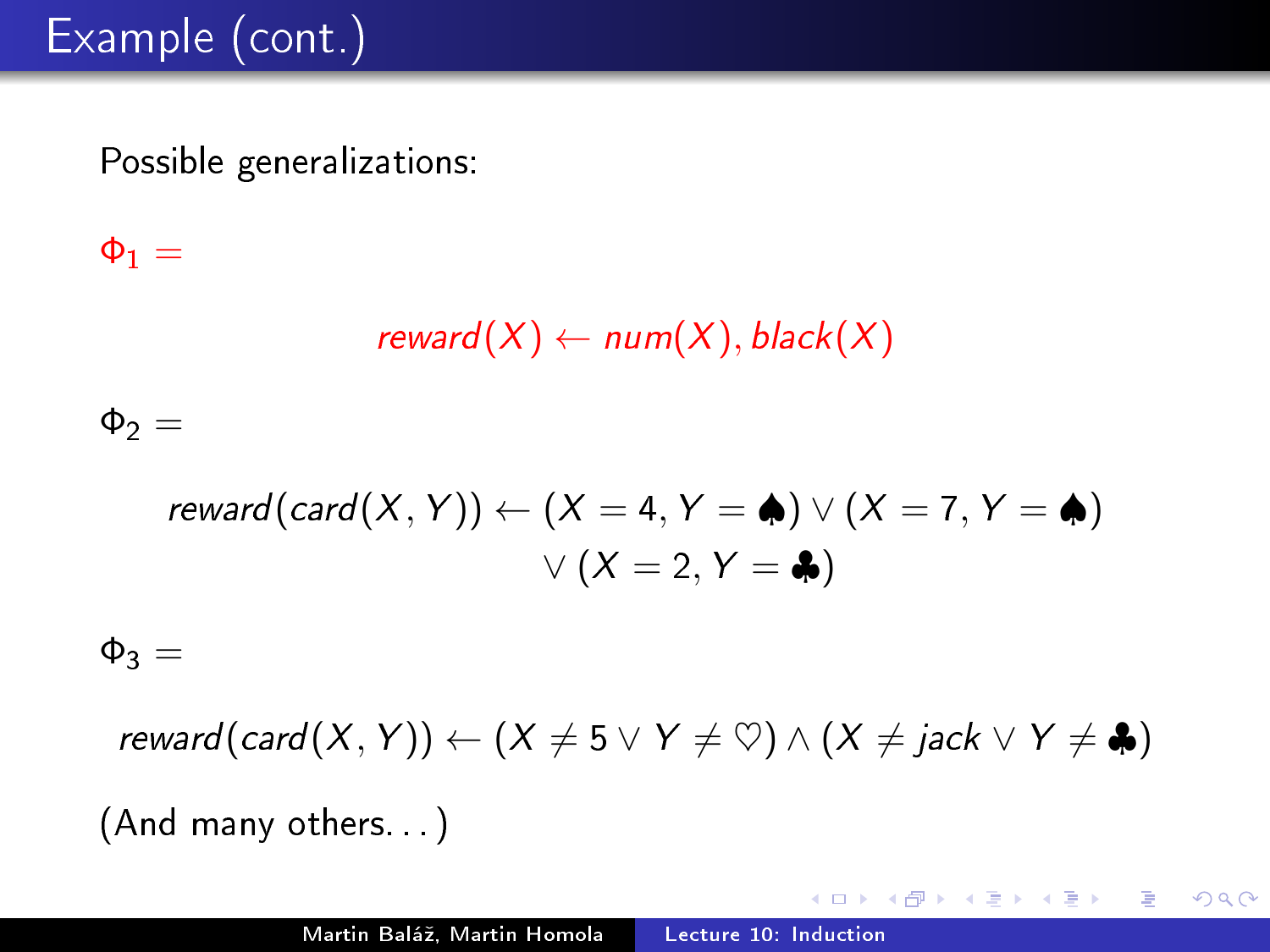Possible generalizations:

 $\Phi_1 =$ 

reward $(X) \leftarrow num(X)$ , black $(X)$ 

 $\Phi_2 =$ 

$$
reward(card(X, Y)) \leftarrow (X = 4, Y = \spadesuit) \vee (X = 7, Y = \spadesuit)
$$
  
 
$$
\vee (X = 2, Y = \clubsuit)
$$

 $\Phi_3 =$ 

reward(card(X, Y)) ←  $(X \neq 5 \vee Y \neq \heartsuit) \wedge (X \neq \text{jack } \vee Y \neq \clubsuit)$ 

イタメ イヨメ イヨメー

 $\equiv$ 

 $2990$ 

(And many others. . . )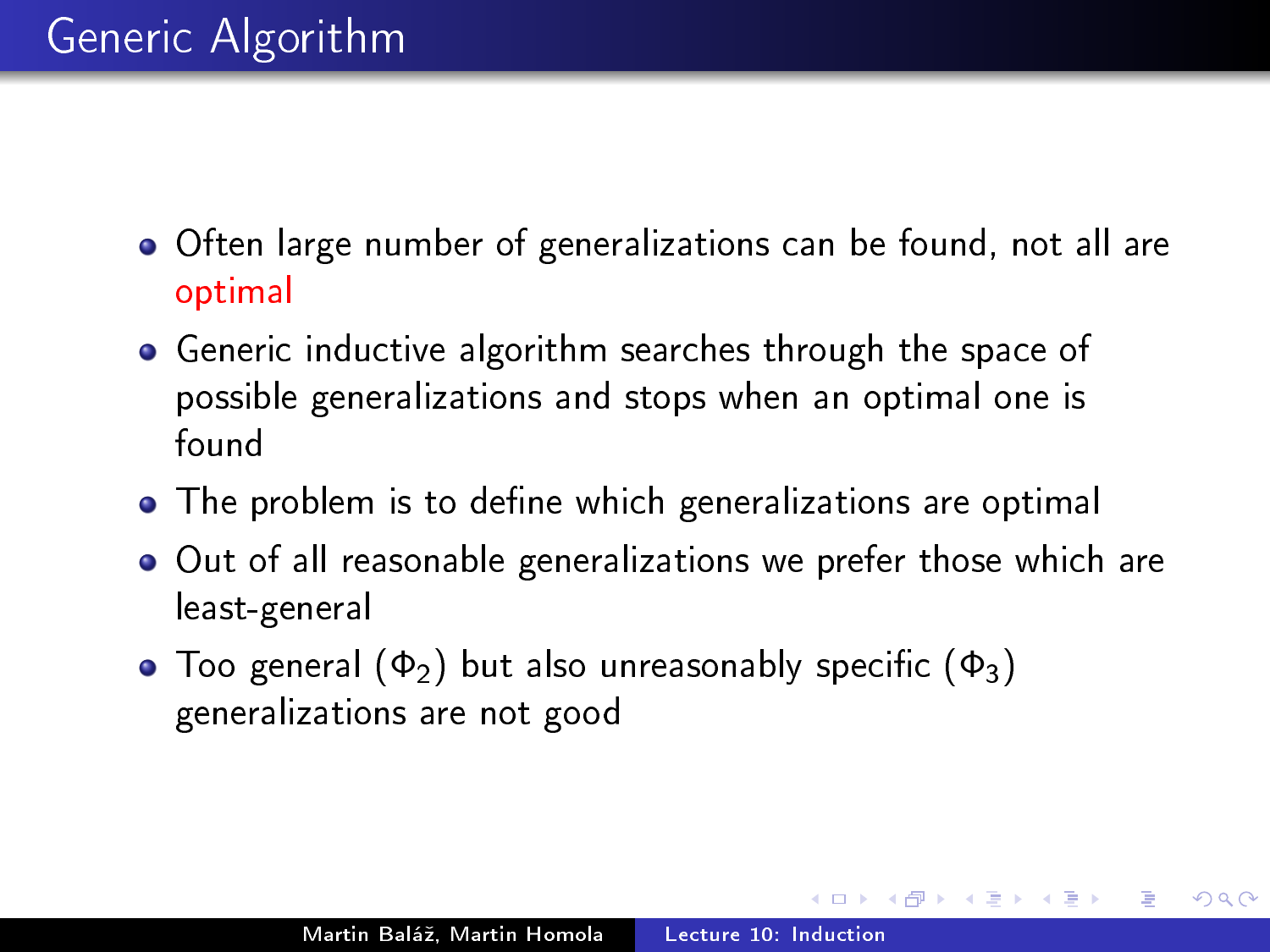# Generic Algorithm

- Often large number of generalizations can be found, not all are optimal
- Generic inductive algorithm searches through the space of possible generalizations and stops when an optimal one is found
- The problem is to define which generalizations are optimal
- Out of all reasonable generalizations we prefer those which are least-general
- Too general  $(\Phi_2)$  but also unreasonably specific  $(\Phi_3)$ generalizations are not good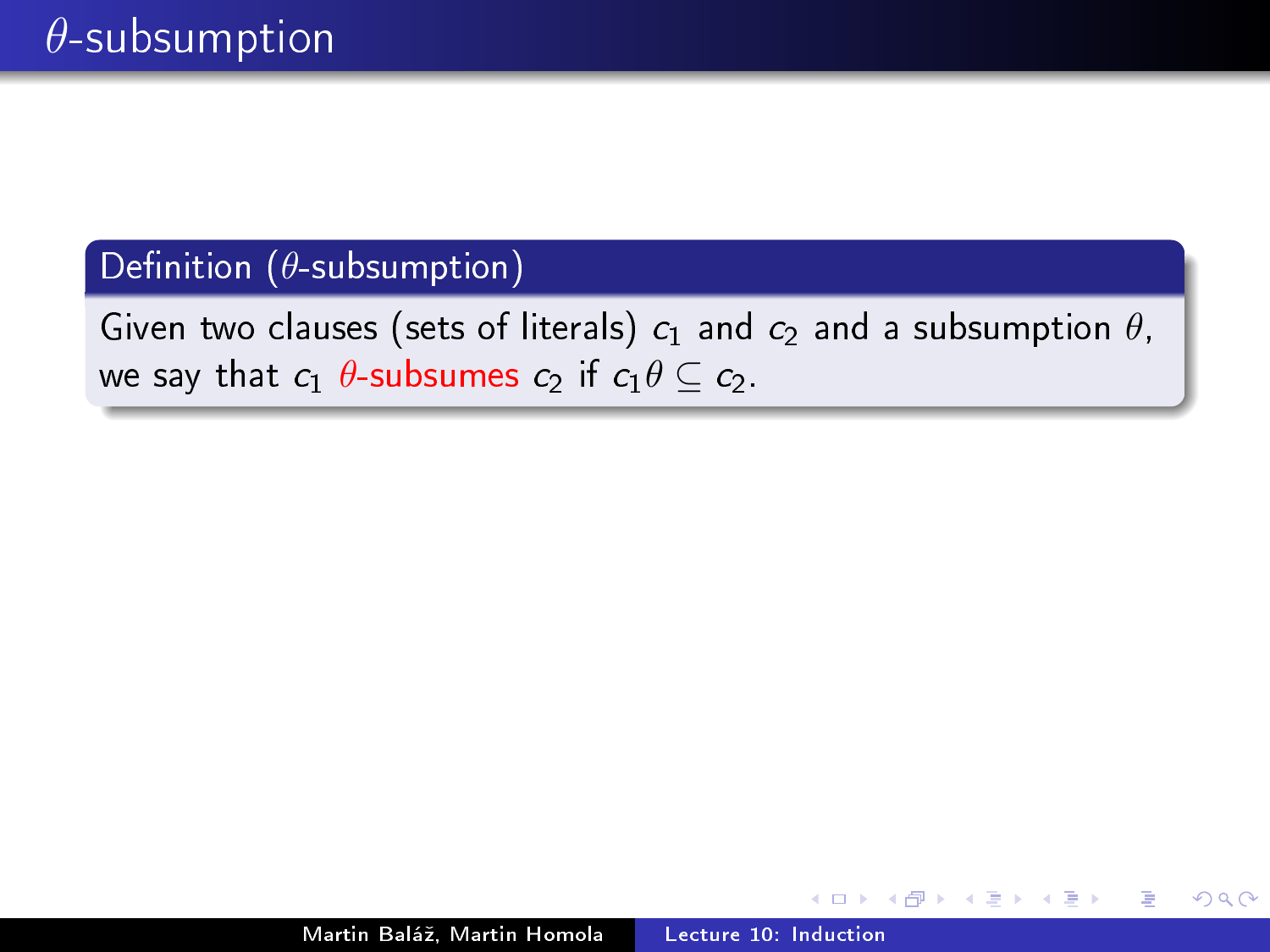# $\overline{\mathsf{Definition}}$  ( $\theta$ -subsumption)

Given two clauses (sets of literals)  $c_1$  and  $c_2$  and a subsumption  $\theta$ , we say that  $c_1$   $\theta$ -subsumes  $c_2$  if  $c_1\theta \subseteq c_2$ .

 $\Omega$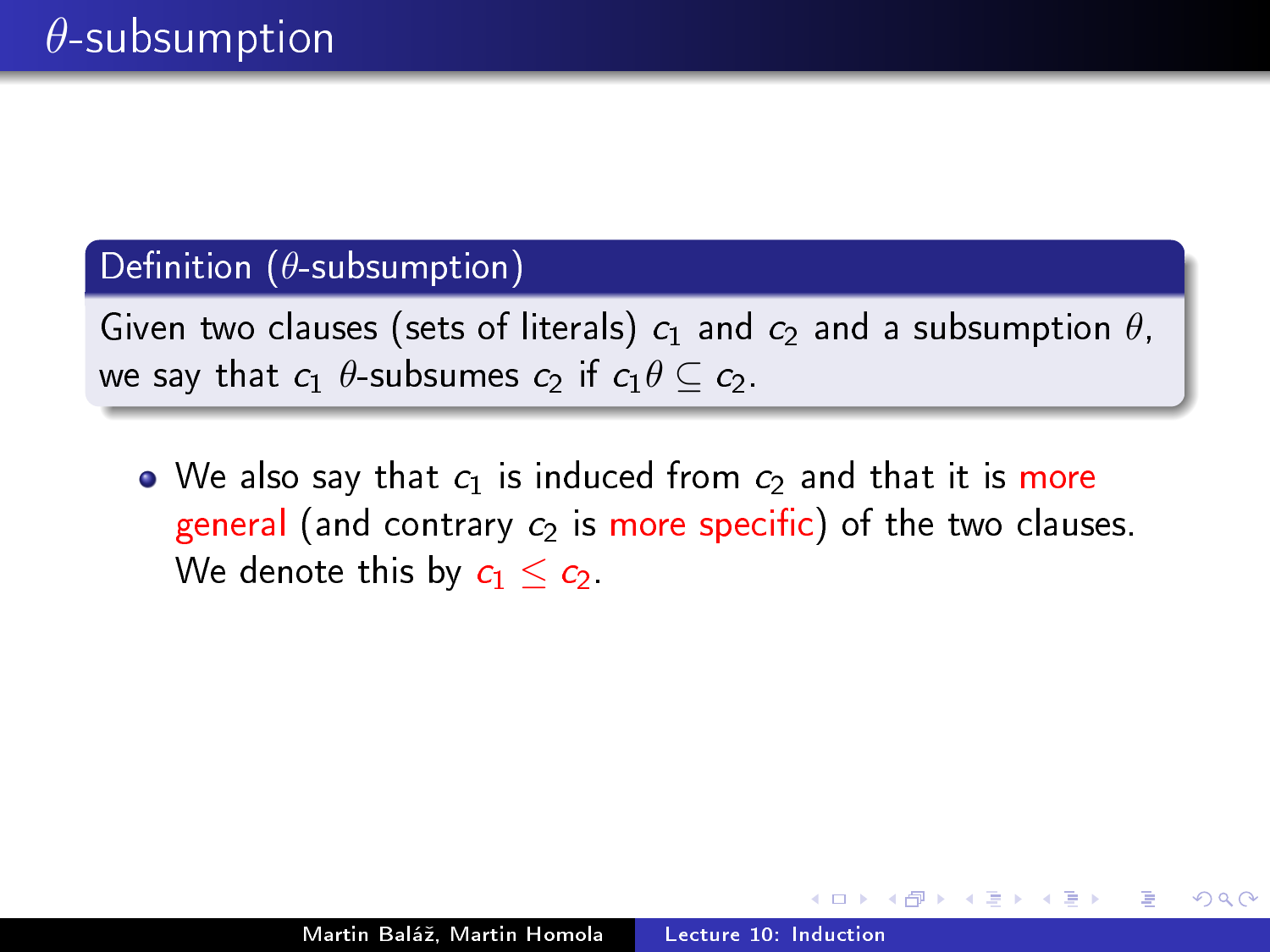# Definition  $(\theta$ -subsumption)

Given two clauses (sets of literals)  $c_1$  and  $c_2$  and a subsumption  $\theta$ , we say that  $c_1$   $\theta$ -subsumes  $c_2$  if  $c_1\theta \subseteq c_2$ .

• We also say that  $c_1$  is induced from  $c_2$  and that it is more general (and contrary  $c_2$  is more specific) of the two clauses. We denote this by  $c_1 \leq c_2$ .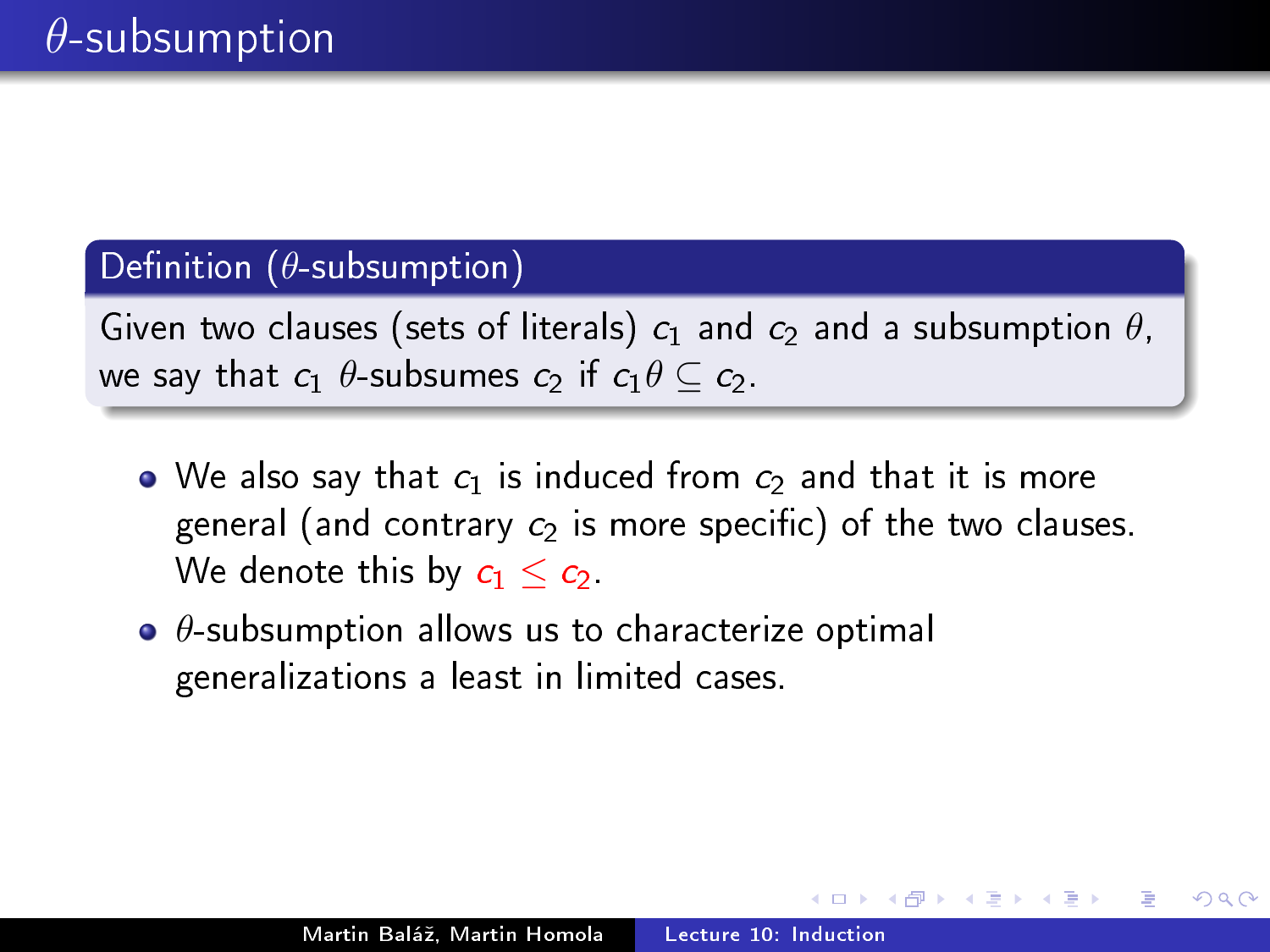# Definition ( $\theta$ -subsumption)

Given two clauses (sets of literals)  $c_1$  and  $c_2$  and a subsumption  $\theta$ , we say that  $c_1$   $\theta$ -subsumes  $c_2$  if  $c_1\theta \subseteq c_2$ .

- $\bullet$  We also say that  $c_1$  is induced from  $c_2$  and that it is more general (and contrary  $c_2$  is more specific) of the two clauses. We denote this by  $c_1 \leq c_2$ .
- $\bullet$   $\theta$ -subsumption allows us to characterize optimal generalizations a least in limited cases.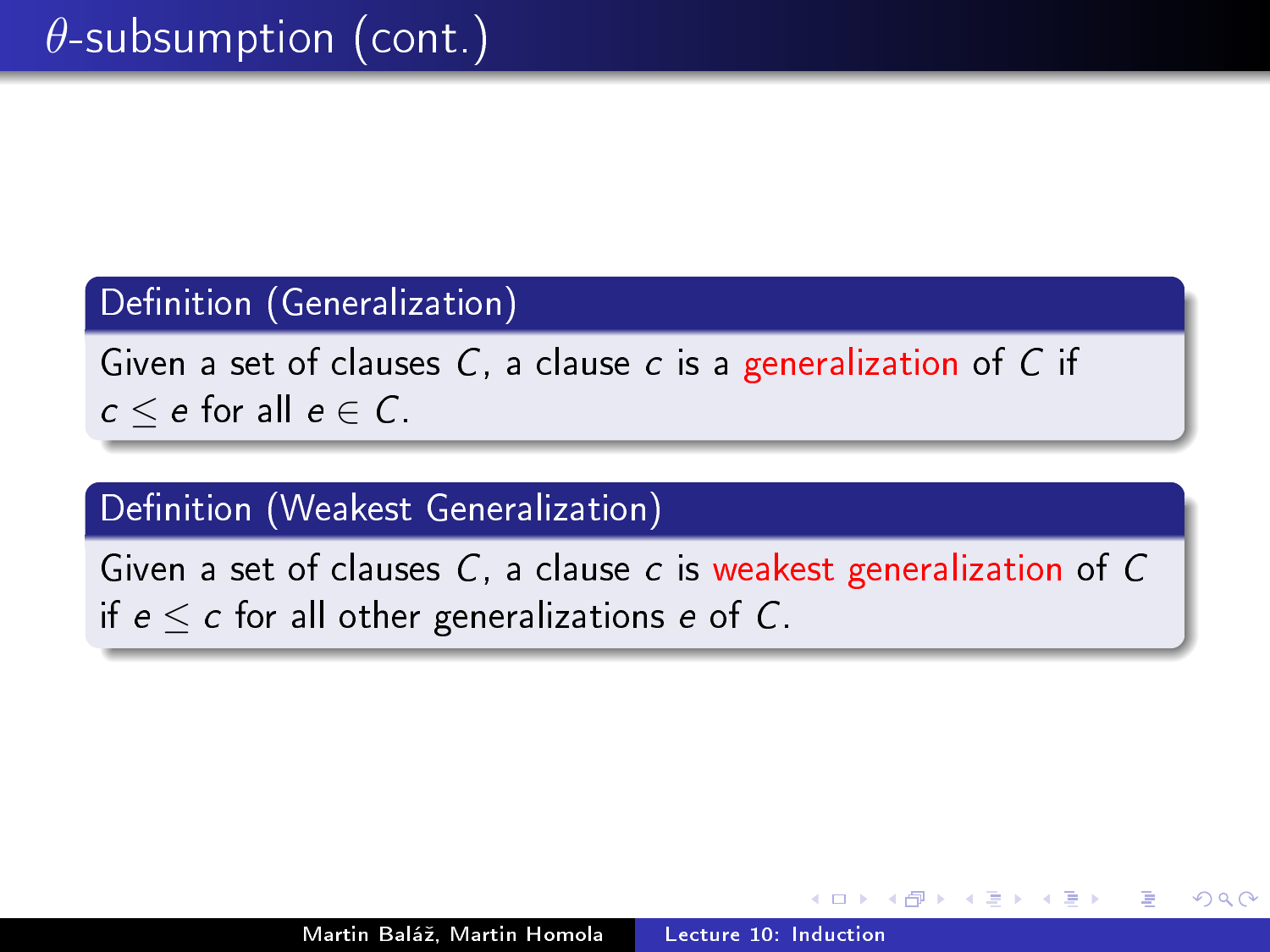# Definition (Generalization)

Given a set of clauses  $C$ , a clause c is a generalization of  $C$  if  $c \leq e$  for all  $e \in C$ .

# Definition (Weakest Generalization)

Given a set of clauses C, a clause c is weakest generalization of C if  $e \leq c$  for all other generalizations e of C.

つへい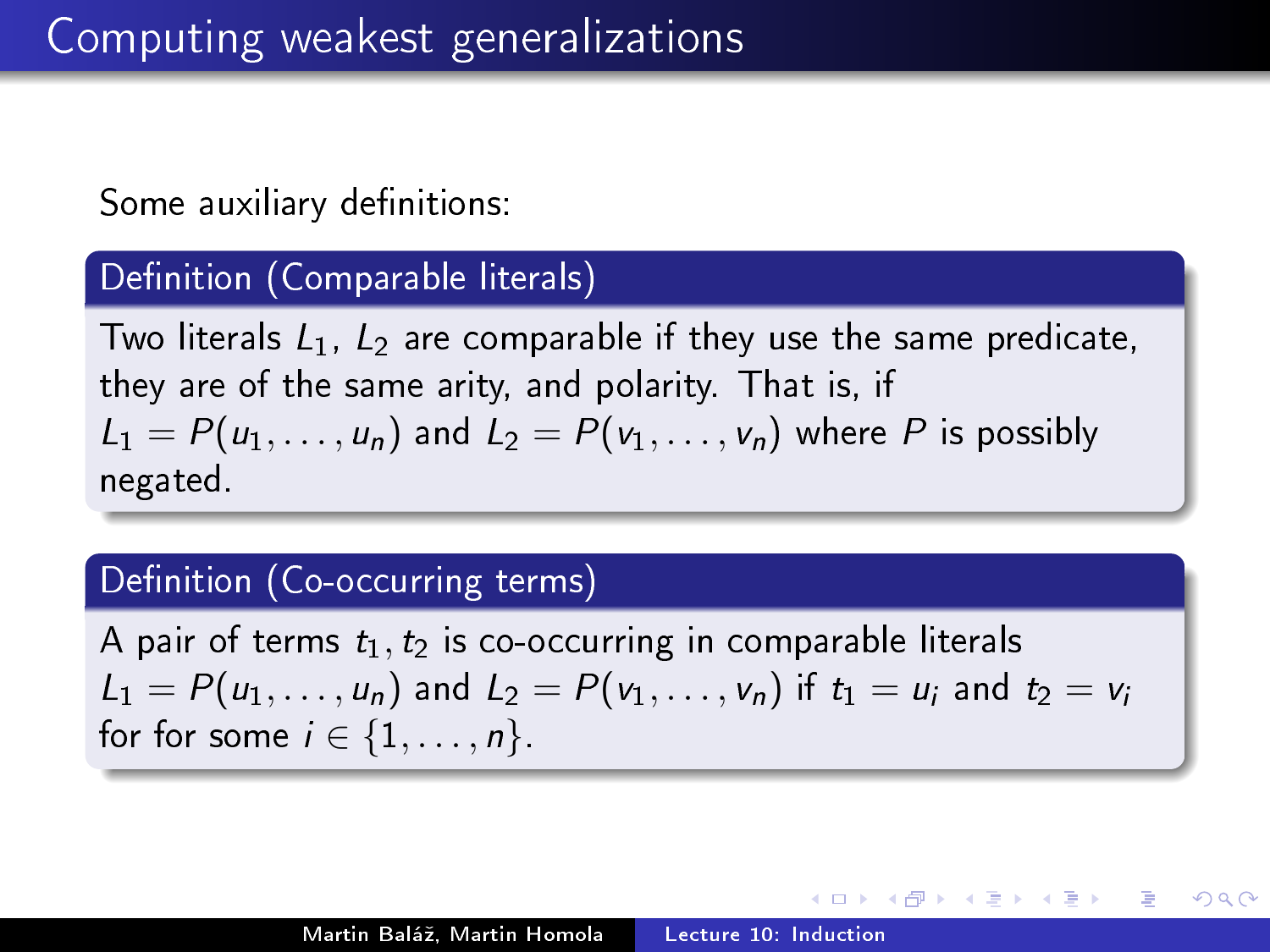Some auxiliary definitions:

#### Definition (Comparable literals)

Two literals  $L_1$ ,  $L_2$  are comparable if they use the same predicate, they are of the same arity, and polarity. That is, if  $L_1 = P(u_1, \ldots, u_n)$  and  $L_2 = P(v_1, \ldots, v_n)$  where P is possibly negated.

#### Definition (Co-occurring terms)

A pair of terms  $t_1, t_2$  is co-occurring in comparable literals  $L_1 = P(u_1, \ldots, u_n)$  and  $L_2 = P(v_1, \ldots, v_n)$  if  $t_1 = u_i$  and  $t_2 = v_i$ for for some  $i \in \{1, \ldots, n\}$ .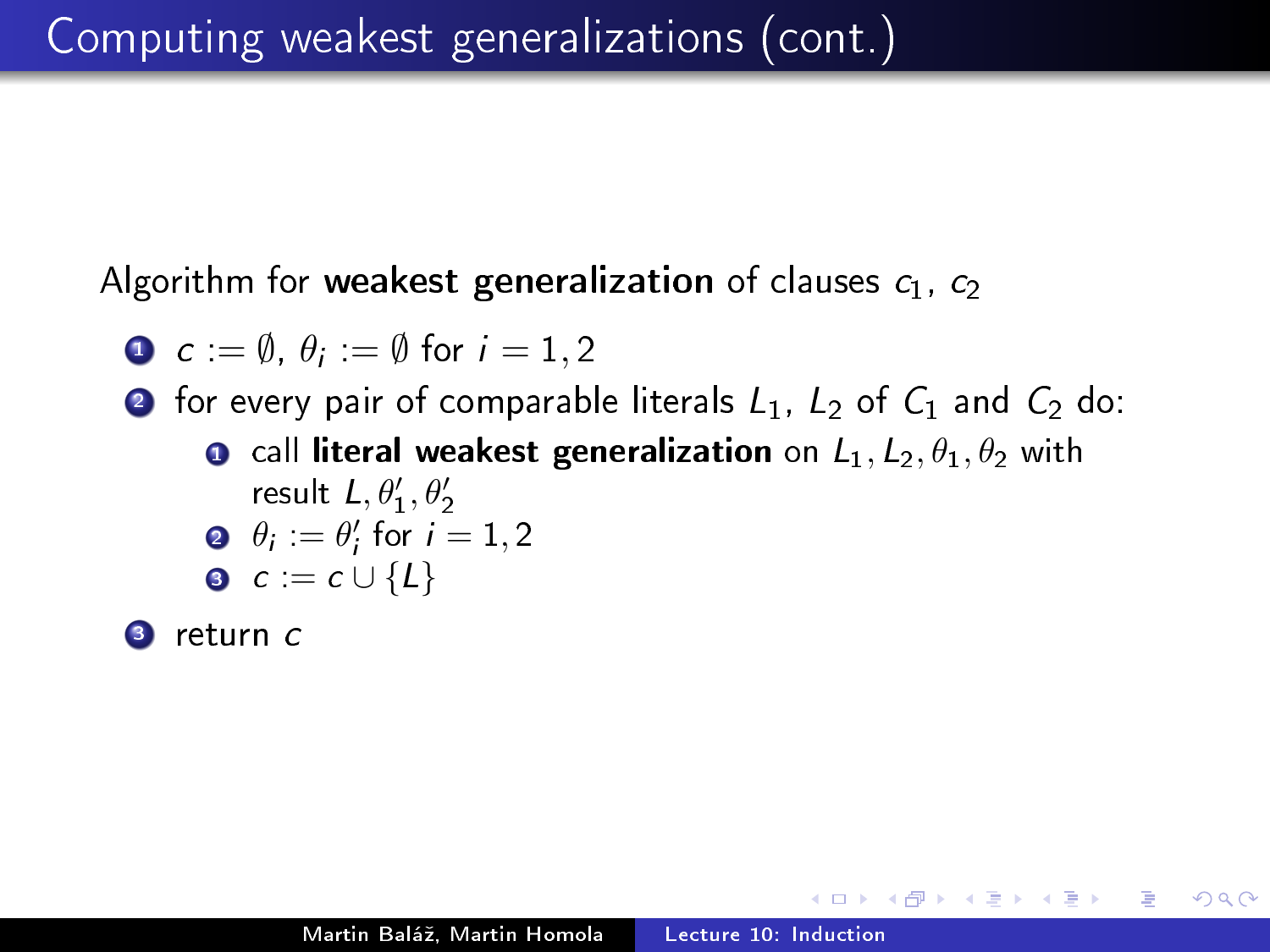Algorithm for weakest generalization of clauses  $c_1$ ,  $c_2$ 

$$
\bullet \ c := \emptyset, \ \theta_i := \emptyset \ \text{for} \ \ i = 1, 2
$$

- **2** for every pair of comparable literals  $L_1$ ,  $L_2$  of  $C_1$  and  $C_2$  do:
	- **O** call literal weakest generalization on  $L_1, L_2, \theta_1, \theta_2$  with result  $L, \theta_1', \theta_2'$ **2**  $\theta_i := \theta'_i$  for  $i = 1, 2$ **3**  $c := c \cup \{L\}$

**3** return c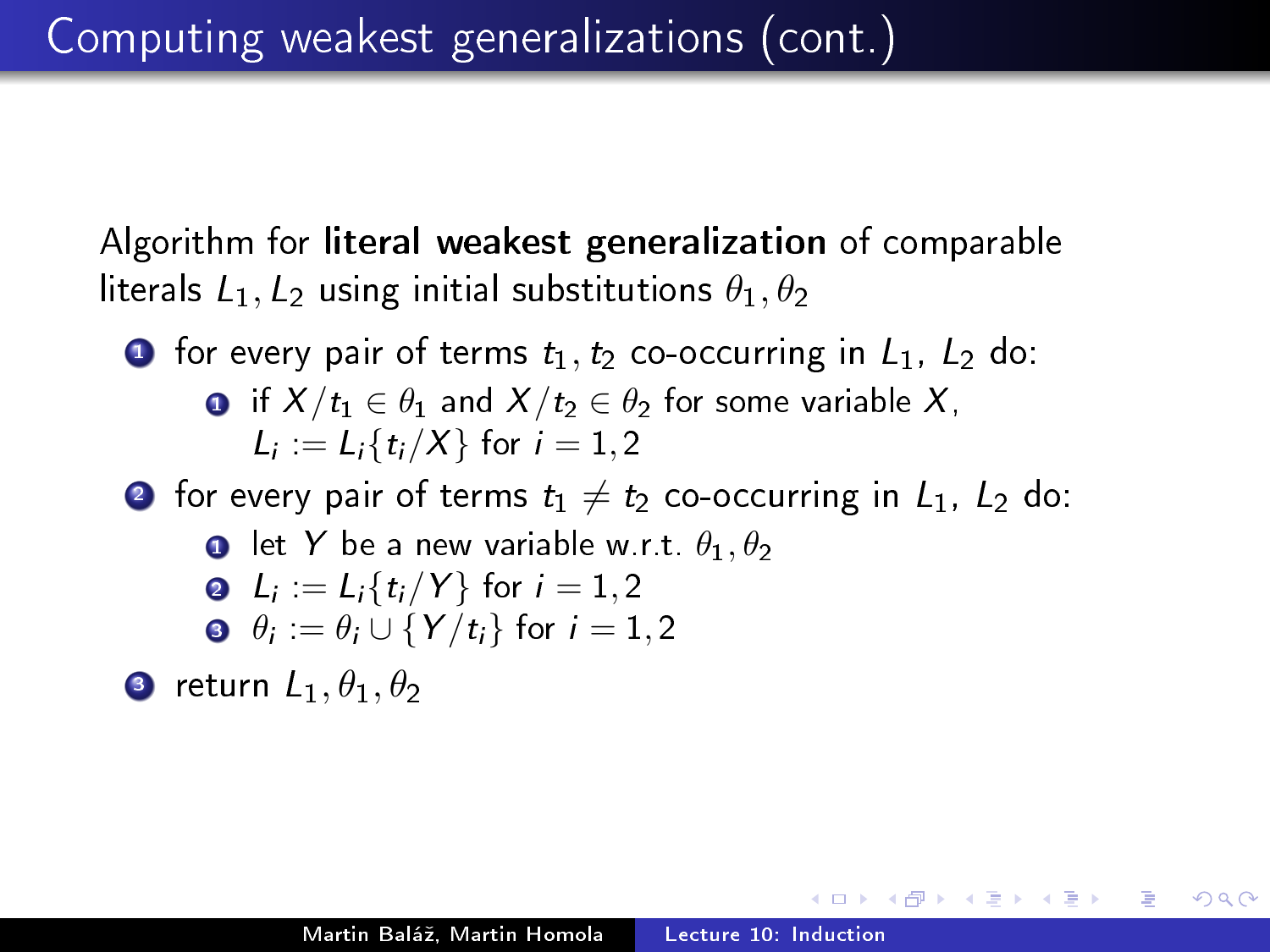Algorithm for literal weakest generalization of comparable literals  $L_1, L_2$  using initial substitutions  $\theta_1, \theta_2$ 

\n- 6 for every pair of terms 
$$
t_1
$$
,  $t_2$  co-occurring in  $L_1$ ,  $L_2$  do:
\n- 7 If  $X/t_1 \in \theta_1$  and  $X/t_2 \in \theta_2$  for some variable  $X$ .
\n

$$
L_i := L_i\{t_i/X\} \text{ for } i=1,2
$$

**2** for every pair of terms  $t_1 \neq t_2$  co-occurring in  $L_1$ ,  $L_2$  do:

• let Y be a new variable w.r.t. 
$$
\theta_1, \theta_2
$$

• 
$$
L_i := L_i\{t_i/Y\}
$$
 for  $i = 1, 2$ 

$$
\bullet \ \theta_i := \theta_i \cup \{Y/t_i\} \text{ for } i = 1, 2
$$

**3** return  $L_1$ ,  $\theta_1$ ,  $\theta_2$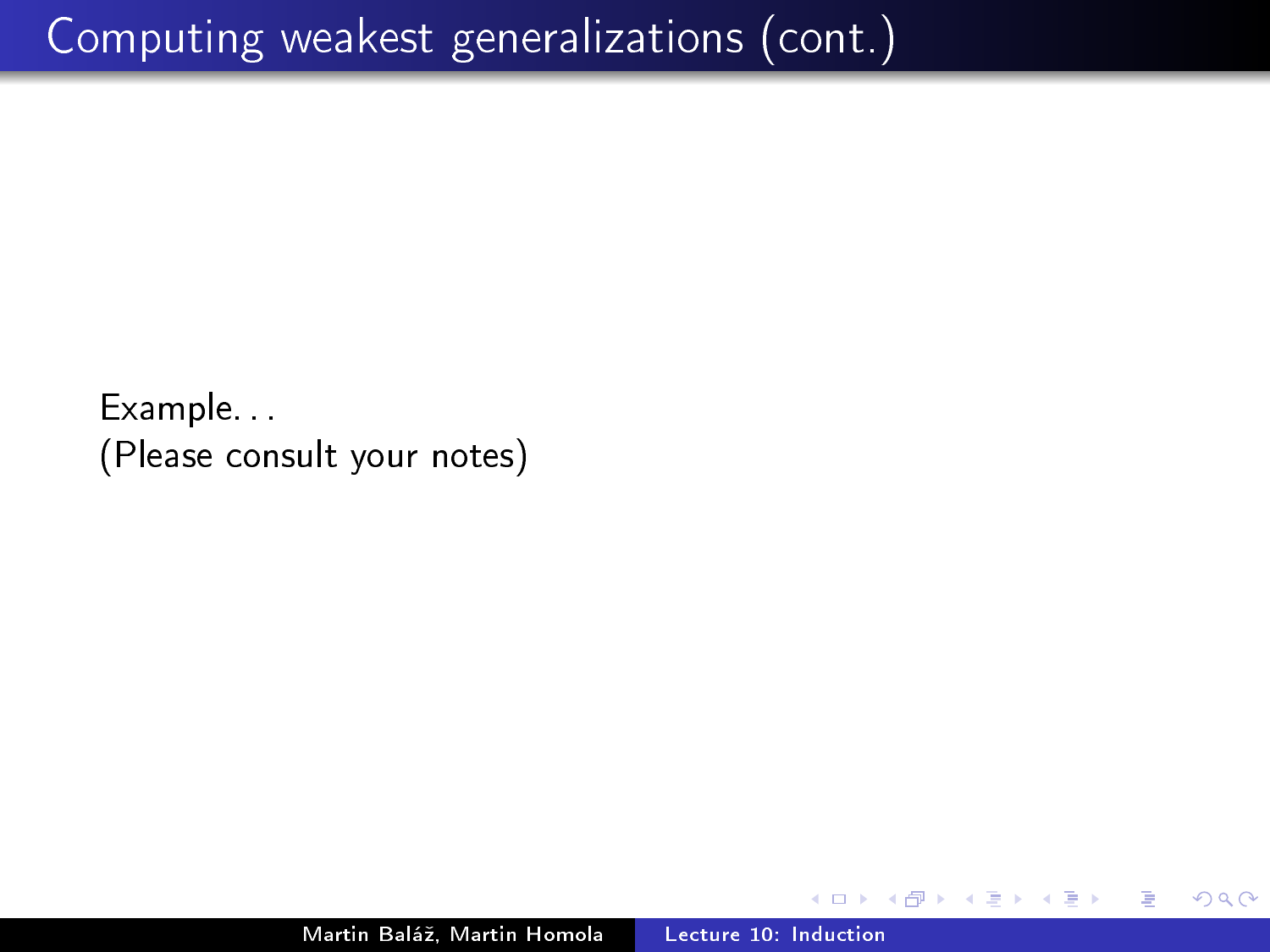Example. . . (Please consult your notes)

∍

 $\rightarrow$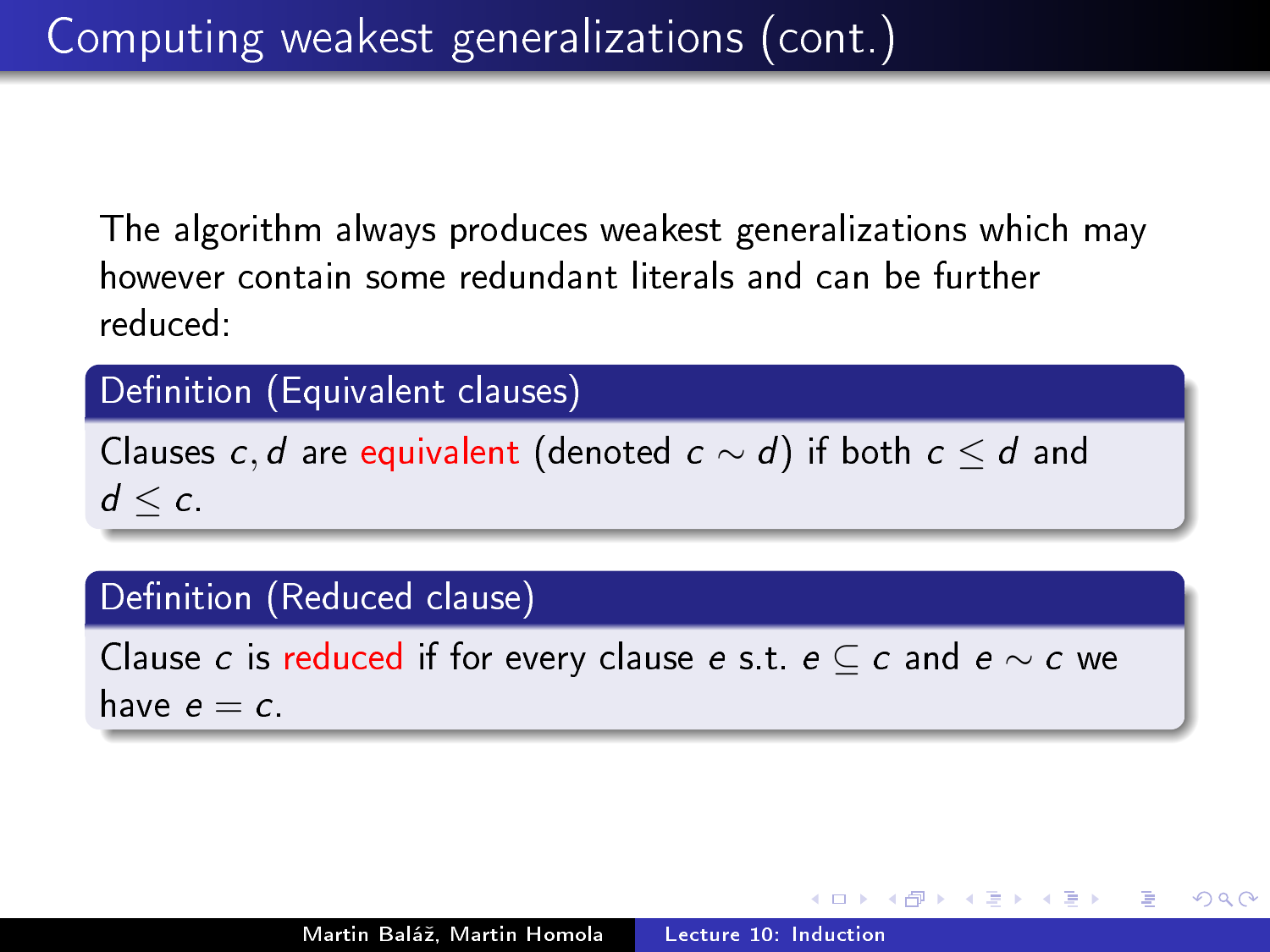The algorithm always produces weakest generalizations which may however contain some redundant literals and can be further reduced:

#### Definition (Equivalent clauses)

Clauses c, d are equivalent (denoted  $c \sim d$ ) if both  $c \leq d$  and  $d < c$ .

#### Definition (Reduced clause)

Clause c is reduced if for every clause e s.t.  $e \subseteq c$  and  $e \sim c$  we have  $e = c$ .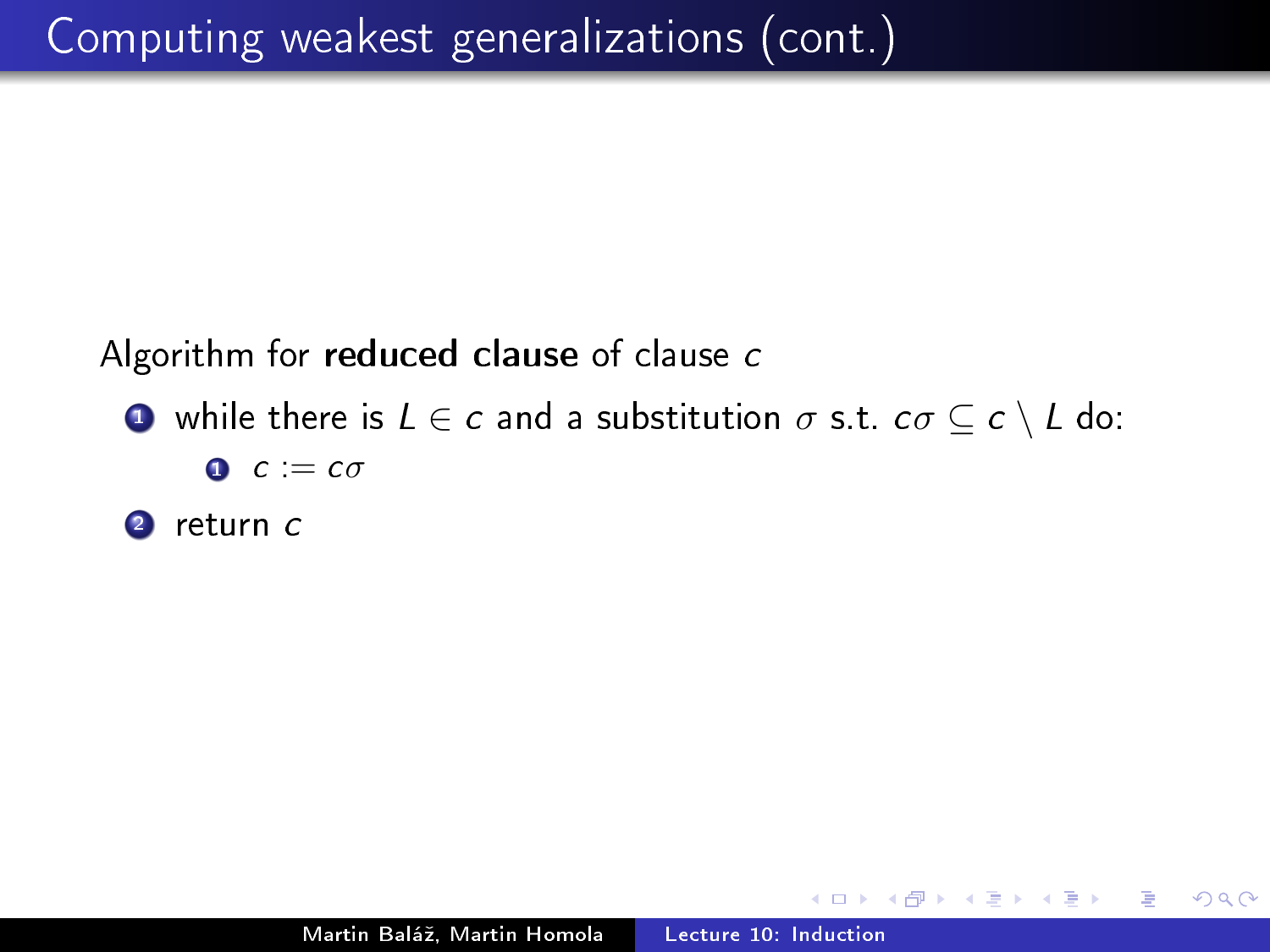Algorithm for reduced clause of clause c

 $\bullet$  while there is  $L \in c$  and a substitution  $\sigma$  s.t.  $c\sigma \subseteq c \setminus L$  do:  $\bullet$  c := c $\sigma$ 

2 return c